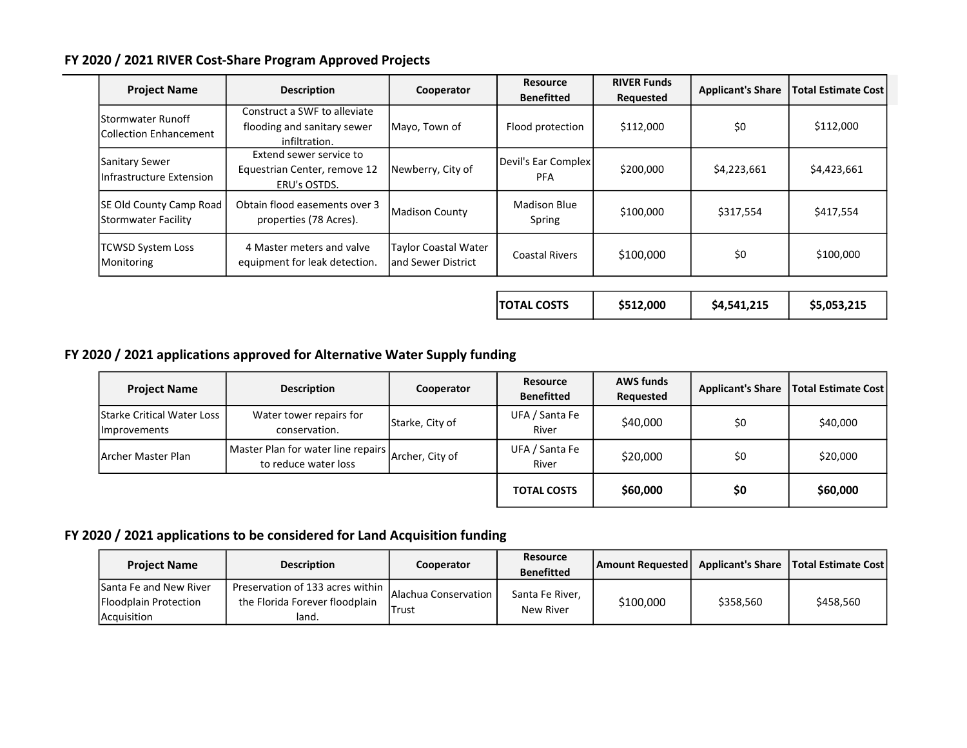## FY 2020 / 2021 RIVER Cost-Share Program Approved Projects

| <b>Project Name</b>                                        | <b>Description</b>                                                           | Cooperator                                         | <b>Resource</b><br><b>Benefitted</b> | <b>RIVER Funds</b><br>Requested | <b>Applicant's Share</b> | <b>Total Estimate Cost</b> |
|------------------------------------------------------------|------------------------------------------------------------------------------|----------------------------------------------------|--------------------------------------|---------------------------------|--------------------------|----------------------------|
| <b>IStormwater Runoff</b><br><b>Collection Enhancement</b> | Construct a SWF to alleviate<br>flooding and sanitary sewer<br>infiltration. | Mayo, Town of                                      | Flood protection                     | \$112,000                       | \$0                      | \$112,000                  |
| Sanitary Sewer<br>Infrastructure Extension                 | Extend sewer service to<br>Equestrian Center, remove 12<br>ERU's OSTDS.      | Newberry, City of                                  | Devil's Ear Complex<br>PFA           | \$200,000                       | \$4,223,661              | \$4,423,661                |
| <b>SE Old County Camp Road</b><br>Stormwater Facility      | Obtain flood easements over 3<br>properties (78 Acres).                      | Madison County                                     | <b>Madison Blue</b><br>Spring        | \$100,000                       | \$317,554                | \$417,554                  |
| <b>TCWSD System Loss</b><br>Monitoring                     | 4 Master meters and valve<br>equipment for leak detection.                   | <b>Taylor Coastal Water</b><br>land Sewer District | <b>Coastal Rivers</b>                | \$100,000                       | \$0                      | \$100,000                  |

| TOTAL COSTS | \$512,000 | \$4,541,215 | \$5,053,215 |
|-------------|-----------|-------------|-------------|
|             |           |             |             |

## FY 2020 / 2021 applications approved for Alternative Water Supply funding

| <b>Project Name</b>                                        | <b>Description</b>                                         | Cooperator      | Resource<br><b>Benefitted</b> | <b>AWS funds</b><br>Requested | <b>Applicant's Share</b> | <b>Total Estimate Cost</b> |
|------------------------------------------------------------|------------------------------------------------------------|-----------------|-------------------------------|-------------------------------|--------------------------|----------------------------|
| <b>IStarke Critical Water Loss</b><br><b>Ilmprovements</b> | Water tower repairs for<br>conservation.                   | Starke, City of | UFA / Santa Fe<br>River       | \$40,000                      | \$0                      | \$40,000                   |
| Archer Master Plan                                         | Master Plan for water line repairs<br>to reduce water loss | Archer, City of | UFA / Santa Fe<br>River       | \$20,000                      | \$0                      | \$20,000                   |
|                                                            |                                                            |                 | <b>TOTAL COSTS</b>            | \$60,000                      | \$0                      | \$60,000                   |

## FY 2020 / 2021 applications to be considered for Land Acquisition funding

| <b>Project Name</b>                             | <b>Description</b>                                                   | Cooperator                    | Resource<br><b>Benefitted</b> | Amount Requested   Applicant's Share   Total Estimate Cost |           |           |
|-------------------------------------------------|----------------------------------------------------------------------|-------------------------------|-------------------------------|------------------------------------------------------------|-----------|-----------|
| Santa Fe and New River<br>Floodplain Protection | Preservation of 133 acres within  <br>the Florida Forever floodplain | <b>Alachua Conservation I</b> | Santa Fe River,               | \$100,000                                                  | \$358,560 | \$458,560 |
| Acquisition                                     | land.                                                                | Trust                         | New River                     |                                                            |           |           |